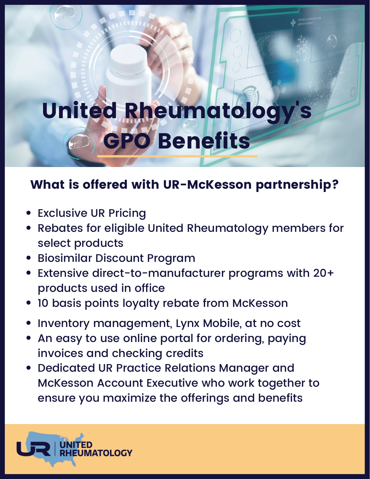## United Rheumatology s GPO Benefits

## What is offered with UR-McKesson partnership?

- Exclusive UR Pricing
- Rebates for eligible United Rheumatology members for select products
- Biosimilar Discount Program
- Extensive direct-to-manufacturer programs with 20+ products used in office
- 10 basis points loyalty rebate from McKesson
- Inventory management, Lynx Mobile, at no cost
- An easy to use online portal for ordering, paying invoices and checking credits
- Dedicated UR Practice Relations Manager and McKesson Account Executive who work together to ensure you maximize the offerings and benefits